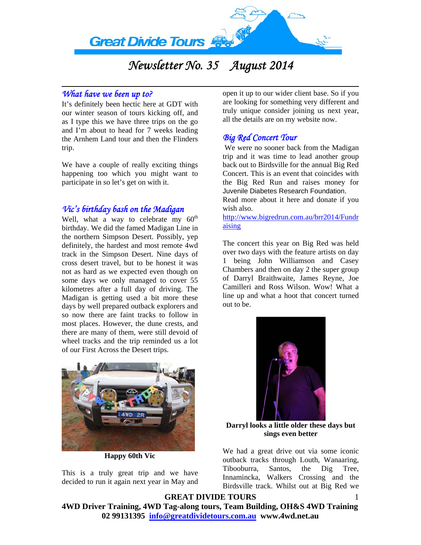

# *Newsletter No. 35 August 2014*

#### *What have we been up to?*

It's definitely been hectic here at GDT with our winter season of tours kicking off, and as I type this we have three trips on the go and I'm about to head for 7 weeks leading the Arnhem Land tour and then the Flinders trip.

We have a couple of really exciting things happening too which you might want to participate in so let's get on with it.

# *Vic's birthday bash on the Madigan*

Well, what a way to celebrate my  $60^{\text{th}}$ birthday. We did the famed Madigan Line in the northern Simpson Desert. Possibly, yep definitely, the hardest and most remote 4wd track in the Simpson Desert. Nine days of cross desert travel, but to be honest it was not as hard as we expected even though on some days we only managed to cover 55 kilometres after a full day of driving. The Madigan is getting used a bit more these days by well prepared outback explorers and so now there are faint tracks to follow in most places. However, the dune crests, and there are many of them, were still devoid of wheel tracks and the trip reminded us a lot of our First Across the Desert trips.



**Happy 60th Vic** 

This is a truly great trip and we have decided to run it again next year in May and

open it up to our wider client base. So if you are looking for something very different and truly unique consider joining us next year, all the details are on my website now.

# *Big Red Concert Tour*

 We were no sooner back from the Madigan trip and it was time to lead another group back out to Birdsville for the annual Big Red Concert. This is an event that coincides with the Big Red Run and raises money for Juvenile Diabetes Research Foundation.

Read more about it here and donate if you wish also.

[http://www.bigredrun.com.au/brr2014/Fundr](http://www.bigredrun.com.au/brr2014/Fundraising) [aising](http://www.bigredrun.com.au/brr2014/Fundraising)

The concert this year on Big Red was held over two days with the feature artists on day 1 being John Williamson and Casey Chambers and then on day 2 the super group of Darryl Braithwaite, James Reyne, Joe Camilleri and Ross Wilson. Wow! What a line up and what a hoot that concert turned out to be.



**Darryl looks a little older these days but sings even better** 

We had a great drive out via some iconic outback tracks through Louth, Wanaaring, Tibooburra, Santos, the Dig Tree, Innamincka, Walkers Crossing and the Birdsville track. Whilst out at Big Red we

1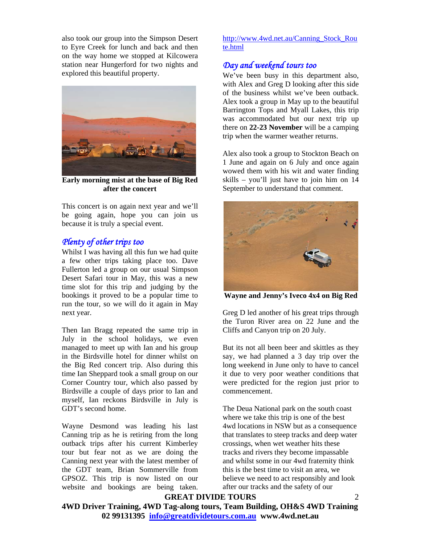also took our group into the Simpson Desert to Eyre Creek for lunch and back and then on the way home we stopped at Kilcowera station near Hungerford for two nights and explored this beautiful property.



**Early morning mist at the base of Big Red after the concert** 

This concert is on again next year and we'll be going again, hope you can join us because it is truly a special event.

#### *Plenty of other trips too*

Whilst I was having all this fun we had quite a few other trips taking place too. Dave Fullerton led a group on our usual Simpson Desert Safari tour in May, this was a new time slot for this trip and judging by the bookings it proved to be a popular time to run the tour, so we will do it again in May next year.

Then Ian Bragg repeated the same trip in July in the school holidays, we even managed to meet up with Ian and his group in the Birdsville hotel for dinner whilst on the Big Red concert trip. Also during this time Ian Sheppard took a small group on our Corner Country tour, which also passed by Birdsville a couple of days prior to Ian and myself, Ian reckons Birdsville in July is GDT's second home.

Wayne Desmond was leading his last Canning trip as he is retiring from the long outback trips after his current Kimberley tour but fear not as we are doing the Canning next year with the latest member of the GDT team, Brian Sommerville from GPSOZ. This trip is now listed on our website and bookings are being taken.

[http://www.4wd.net.au/Canning\\_Stock\\_Rou](http://www.4wd.net.au/Canning_Stock_Route.html) [te.html](http://www.4wd.net.au/Canning_Stock_Route.html) 

# *Day and weekend tours too*

We've been busy in this department also, with Alex and Greg D looking after this side of the business whilst we've been outback. Alex took a group in May up to the beautiful Barrington Tops and Myall Lakes, this trip was accommodated but our next trip up there on **22-23 November** will be a camping trip when the warmer weather returns.

Alex also took a group to Stockton Beach on 1 June and again on 6 July and once again wowed them with his wit and water finding skills – you'll just have to join him on 14 September to understand that comment.



**Wayne and Jenny's Iveco 4x4 on Big Red** 

Greg D led another of his great trips through the Turon River area on 22 June and the Cliffs and Canyon trip on 20 July.

But its not all been beer and skittles as they say, we had planned a 3 day trip over the long weekend in June only to have to cancel it due to very poor weather conditions that were predicted for the region just prior to commencement.

The Deua National park on the south coast where we take this trip is one of the best 4wd locations in NSW but as a consequence that translates to steep tracks and deep water crossings, when wet weather hits these tracks and rivers they become impassable and whilst some in our 4wd fraternity think this is the best time to visit an area, we believe we need to act responsibly and look after our tracks and the safety of our

 $\mathfrak{D}$ 

**GREAT DIVIDE TOURS**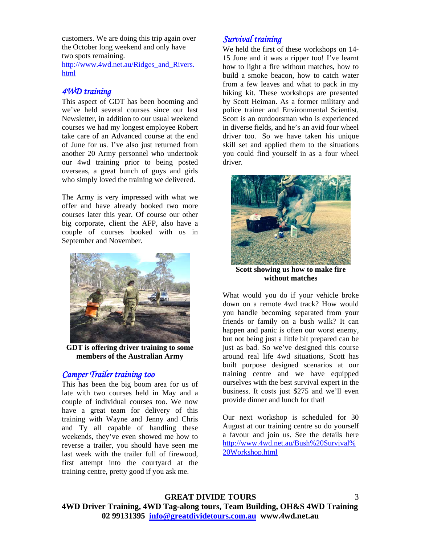customers. We are doing this trip again over the October long weekend and only have two spots remaining.

[http://www.4wd.net.au/Ridges\\_and\\_Rivers.](http://www.4wd.net.au/Ridges_and_Rivers.html) [html](http://www.4wd.net.au/Ridges_and_Rivers.html)

#### *4WD training*

This aspect of GDT has been booming and we've held several courses since our last Newsletter, in addition to our usual weekend courses we had my longest employee Robert take care of an Advanced course at the end of June for us. I've also just returned from another 20 Army personnel who undertook our 4wd training prior to being posted overseas, a great bunch of guys and girls who simply loved the training we delivered.

The Army is very impressed with what we offer and have already booked two more courses later this year. Of course our other big corporate, client the AFP, also have a couple of courses booked with us in September and November.



**GDT is offering driver training to some members of the Australian Army** 

#### *Camper Trailer training too*

This has been the big boom area for us of late with two courses held in May and a couple of individual courses too. We now have a great team for delivery of this training with Wayne and Jenny and Chris and Ty all capable of handling these weekends, they've even showed me how to reverse a trailer, you should have seen me last week with the trailer full of firewood, first attempt into the courtyard at the training centre, pretty good if you ask me.

#### *Survival training*

We held the first of these workshops on 14- 15 June and it was a ripper too! I've learnt how to light a fire without matches, how to build a smoke beacon, how to catch water from a few leaves and what to pack in my hiking kit. These workshops are presented by Scott Heiman. As a former military and police trainer and Environmental Scientist, Scott is an outdoorsman who is experienced in diverse fields, and he's an avid four wheel driver too. So we have taken his unique skill set and applied them to the situations you could find yourself in as a four wheel driver.



**Scott showing us how to make fire without matches** 

What would you do if your vehicle broke down on a remote 4wd track? How would you handle becoming separated from your friends or family on a bush walk? It can happen and panic is often our worst enemy, but not being just a little bit prepared can be just as bad. So we've designed this course around real life 4wd situations, Scott has built purpose designed scenarios at our training centre and we have equipped ourselves with the best survival expert in the business. It costs just \$275 and we'll even provide dinner and lunch for that!

Our next workshop is scheduled for 30 August at our training centre so do yourself a favour and join us. See the details here [http://www.4wd.net.au/Bush%20Survival%](http://www.4wd.net.au/Bush%20Survival%20Workshop.html) [20Workshop.html](http://www.4wd.net.au/Bush%20Survival%20Workshop.html) 

3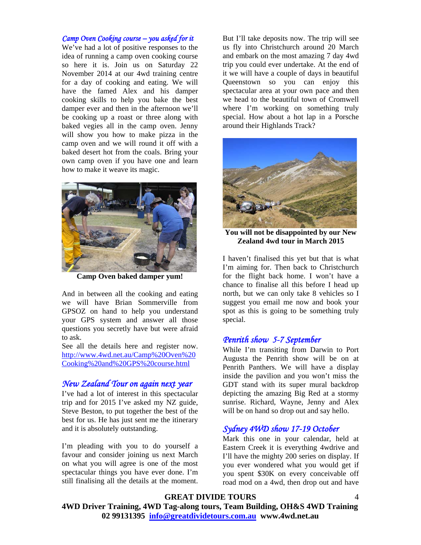#### *Camp Oven Cooking course – you asked for it*

We've had a lot of positive responses to the idea of running a camp oven cooking course so here it is. Join us on Saturday 22 November 2014 at our 4wd training centre for a day of cooking and eating. We will have the famed Alex and his damper cooking skills to help you bake the best damper ever and then in the afternoon we'll be cooking up a roast or three along with baked vegies all in the camp oven. Jenny will show you how to make pizza in the camp oven and we will round it off with a baked desert hot from the coals. Bring your own camp oven if you have one and learn how to make it weave its magic.



**Camp Oven baked damper yum!** 

And in between all the cooking and eating we will have Brian Sommerville from GPSOZ on hand to help you understand your GPS system and answer all those questions you secretly have but were afraid to ask.

See all the details here and register now. [http://www.4wd.net.au/Camp%20Oven%20](http://www.4wd.net.au/Camp%20Oven%20Cooking%20and%20GPS%20course.html) [Cooking%20and%20GPS%20course.html](http://www.4wd.net.au/Camp%20Oven%20Cooking%20and%20GPS%20course.html)

#### *New Zealand Tour on again next year*

I've had a lot of interest in this spectacular trip and for 2015 I've asked my NZ guide, Steve Beston, to put together the best of the best for us. He has just sent me the itinerary and it is absolutely outstanding.

I'm pleading with you to do yourself a favour and consider joining us next March on what you will agree is one of the most spectacular things you have ever done. I'm still finalising all the details at the moment.

But I'll take deposits now. The trip will see us fly into Christchurch around 20 March and embark on the most amazing 7 day 4wd trip you could ever undertake. At the end of it we will have a couple of days in beautiful Queenstown so you can enjoy this spectacular area at your own pace and then we head to the beautiful town of Cromwell where I'm working on something truly special. How about a hot lap in a Porsche around their Highlands Track?



**You will not be disappointed by our New Zealand 4wd tour in March 2015** 

I haven't finalised this yet but that is what I'm aiming for. Then back to Christchurch for the flight back home. I won't have a chance to finalise all this before I head up north, but we can only take 8 vehicles so I suggest you email me now and book your spot as this is going to be something truly special.

#### *Penrith show 5-7 September*

While I'm transiting from Darwin to Port Augusta the Penrith show will be on at Penrith Panthers. We will have a display inside the pavilion and you won't miss the GDT stand with its super mural backdrop depicting the amazing Big Red at a stormy sunrise. Richard, Wayne, Jenny and Alex will be on hand so drop out and say hello.

## *Sydney 4WD show 17-19 October*

Mark this one in your calendar, held at Eastern Creek it is everything 4wdrive and I'll have the mighty 200 series on display. If you ever wondered what you would get if you spent \$30K on every conceivable off road mod on a 4wd, then drop out and have

**GREAT DIVIDE TOURS**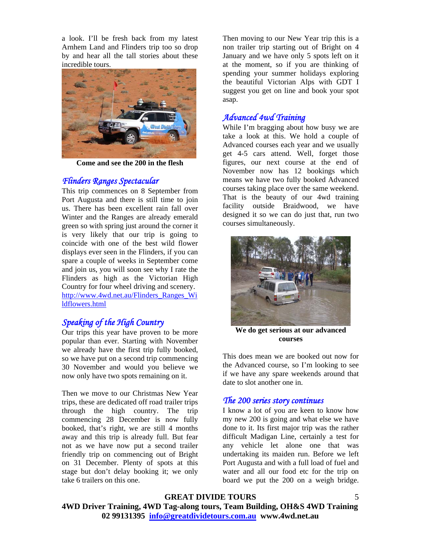a look. I'll be fresh back from my latest Arnhem Land and Flinders trip too so drop by and hear all the tall stories about these incredible tours.



**Come and see the 200 in the flesh** 

#### *Flinders Ranges Spectacular*

This trip commences on 8 September from Port Augusta and there is still time to join us. There has been excellent rain fall over Winter and the Ranges are already emerald green so with spring just around the corner it is very likely that our trip is going to coincide with one of the best wild flower displays ever seen in the Flinders, if you can spare a couple of weeks in September come and join us, you will soon see why I rate the Flinders as high as the Victorian High Country for four wheel driving and scenery. [http://www.4wd.net.au/Flinders\\_Ranges\\_Wi](http://www.4wd.net.au/Flinders_Ranges_Wildflowers.html) [ldflowers.html](http://www.4wd.net.au/Flinders_Ranges_Wildflowers.html)

## *Speaking of the High Country*

Our trips this year have proven to be more popular than ever. Starting with November we already have the first trip fully booked, so we have put on a second trip commencing 30 November and would you believe we now only have two spots remaining on it.

Then we move to our Christmas New Year trips, these are dedicated off road trailer trips through the high country. The trip commencing 28 December is now fully booked, that's right, we are still 4 months away and this trip is already full. But fear not as we have now put a second trailer friendly trip on commencing out of Bright on 31 December. Plenty of spots at this stage but don't delay booking it; we only take 6 trailers on this one.

Then moving to our New Year trip this is a non trailer trip starting out of Bright on 4 January and we have only 5 spots left on it at the moment, so if you are thinking of spending your summer holidays exploring the beautiful Victorian Alps with GDT I suggest you get on line and book your spot asap.

#### *Advanced 4wd Training*

While I'm bragging about how busy we are take a look at this. We hold a couple of Advanced courses each year and we usually get 4-5 cars attend. Well, forget those figures, our next course at the end of November now has 12 bookings which means we have two fully booked Advanced courses taking place over the same weekend. That is the beauty of our 4wd training facility outside Braidwood, we have designed it so we can do just that, run two courses simultaneously.



**We do get serious at our advanced courses** 

This does mean we are booked out now for the Advanced course, so I'm looking to see if we have any spare weekends around that date to slot another one in.

## *The 200 series story continues*

I know a lot of you are keen to know how my new 200 is going and what else we have done to it. Its first major trip was the rather difficult Madigan Line, certainly a test for any vehicle let alone one that was undertaking its maiden run. Before we left Port Augusta and with a full load of fuel and water and all our food etc for the trip on board we put the 200 on a weigh bridge.

**GREAT DIVIDE TOURS**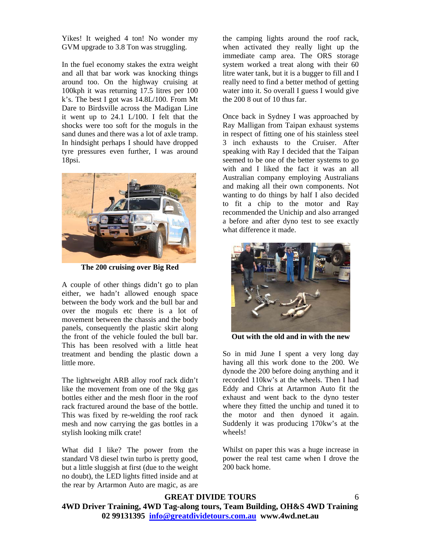Yikes! It weighed 4 ton! No wonder my GVM upgrade to 3.8 Ton was struggling.

In the fuel economy stakes the extra weight and all that bar work was knocking things around too. On the highway cruising at 100kph it was returning 17.5 litres per 100 k's. The best I got was 14.8L/100. From Mt Dare to Birdsville across the Madigan Line it went up to 24.1 L/100. I felt that the shocks were too soft for the moguls in the sand dunes and there was a lot of axle tramp. In hindsight perhaps I should have dropped tyre pressures even further, I was around 18psi.



**The 200 cruising over Big Red** 

A couple of other things didn't go to plan either, we hadn't allowed enough space between the body work and the bull bar and over the moguls etc there is a lot of movement between the chassis and the body panels, consequently the plastic skirt along the front of the vehicle fouled the bull bar. This has been resolved with a little heat treatment and bending the plastic down a little more.

The lightweight ARB alloy roof rack didn't like the movement from one of the 9kg gas bottles either and the mesh floor in the roof rack fractured around the base of the bottle. This was fixed by re-welding the roof rack mesh and now carrying the gas bottles in a stylish looking milk crate!

What did I like? The power from the standard V8 diesel twin turbo is pretty good, but a little sluggish at first (due to the weight no doubt), the LED lights fitted inside and at the rear by Artarmon Auto are magic, as are

the camping lights around the roof rack, when activated they really light up the immediate camp area. The ORS storage system worked a treat along with their 60 litre water tank, but it is a bugger to fill and I really need to find a better method of getting water into it. So overall I guess I would give the 200 8 out of 10 thus far.

Once back in Sydney I was approached by Ray Malligan from Taipan exhaust systems in respect of fitting one of his stainless steel 3 inch exhausts to the Cruiser. After speaking with Ray I decided that the Taipan seemed to be one of the better systems to go with and I liked the fact it was an all Australian company employing Australians and making all their own components. Not wanting to do things by half I also decided to fit a chip to the motor and Ray recommended the Unichip and also arranged a before and after dyno test to see exactly what difference it made.



**Out with the old and in with the new** 

So in mid June I spent a very long day having all this work done to the 200. We dynode the 200 before doing anything and it recorded 110kw's at the wheels. Then I had Eddy and Chris at Artarmon Auto fit the exhaust and went back to the dyno tester where they fitted the unchip and tuned it to the motor and then dynoed it again. Suddenly it was producing 170kw's at the wheels!

Whilst on paper this was a huge increase in power the real test came when I drove the 200 back home.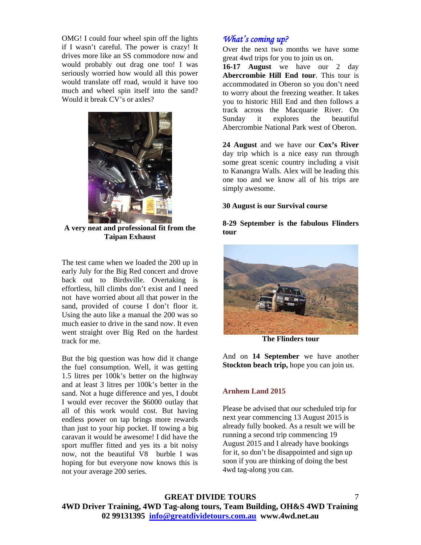OMG! I could four wheel spin off the lights if I wasn't careful. The power is crazy! It drives more like an SS commodore now and would probably out drag one too! I was seriously worried how would all this power would translate off road, would it have too much and wheel spin itself into the sand? Would it break CV's or axles?



**A very neat and professional fit from the Taipan Exhaust** 

The test came when we loaded the 200 up in early July for the Big Red concert and drove back out to Birdsville. Overtaking is effortless, hill climbs don't exist and I need not have worried about all that power in the sand, provided of course I don't floor it. Using the auto like a manual the 200 was so much easier to drive in the sand now. It even went straight over Big Red on the hardest track for me.

But the big question was how did it change the fuel consumption. Well, it was getting 1.5 litres per 100k's better on the highway and at least 3 litres per 100k's better in the sand. Not a huge difference and yes, I doubt I would ever recover the \$6000 outlay that all of this work would cost. But having endless power on tap brings more rewards than just to your hip pocket. If towing a big caravan it would be awesome! I did have the sport muffler fitted and yes its a bit noisy now, not the beautiful V8 burble I was hoping for but everyone now knows this is not your average 200 series.

## *What's coming up?*

Over the next two months we have some great 4wd trips for you to join us on.

**16-17 August** we have our 2 day **Abercrombie Hill End tour**. This tour is accommodated in Oberon so you don't need to worry about the freezing weather. It takes you to historic Hill End and then follows a track across the Macquarie River. On Sunday it explores the Abercrombie National Park west of Oberon.

**24 August** and we have our **Cox's River** day trip which is a nice easy run through some great scenic country including a visit to Kanangra Walls. Alex will be leading this one too and we know all of his trips are simply awesome.

#### **30 August is our Survival course**

#### **8-29 September is the fabulous Flinders tour**



**The Flinders tour** 

And on **14 September** we have another **Stockton beach trip,** hope you can join us.

#### **Arnhem Land 2015**

Please be advised that our scheduled trip for next year commencing 13 August 2015 is already fully booked. As a result we will be running a second trip commencing 19 August 2015 and I already have bookings for it, so don't be disappointed and sign up soon if you are thinking of doing the best 4wd tag-along you can.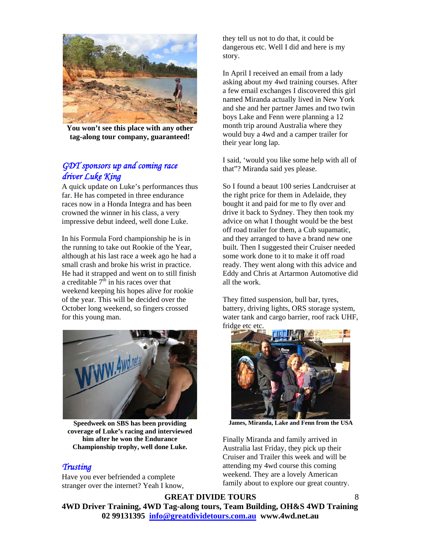

**You won't see this place with any other tag-along tour company, guaranteed!** 

# *GDT sponsors up and coming race driver Luke King*

A quick update on Luke's performances thus far. He has competed in three endurance races now in a Honda Integra and has been crowned the winner in his class, a very impressive debut indeed, well done Luke.

In his Formula Ford championship he is in the running to take out Rookie of the Year, although at his last race a week ago he had a small crash and broke his wrist in practice. He had it strapped and went on to still finish a creditable  $7^{\hat{\text{th}}}$  in his races over that weekend keeping his hopes alive for rookie of the year. This will be decided over the October long weekend, so fingers crossed for this young man.



**Speedweek on SBS has been providing coverage of Luke's racing and interviewed him after he won the Endurance Championship trophy, well done Luke.** 

#### *Trusting*

Have you ever befriended a complete stranger over the internet? Yeah I know, they tell us not to do that, it could be dangerous etc. Well I did and here is my story.

In April I received an email from a lady asking about my 4wd training courses. After a few email exchanges I discovered this girl named Miranda actually lived in New York and she and her partner James and two twin boys Lake and Fenn were planning a 12 month trip around Australia where they would buy a 4wd and a camper trailer for their year long lap.

I said, 'would you like some help with all of that"? Miranda said yes please.

So I found a beaut 100 series Landcruiser at the right price for them in Adelaide, they bought it and paid for me to fly over and drive it back to Sydney. They then took my advice on what I thought would be the best off road trailer for them, a Cub supamatic, and they arranged to have a brand new one built. Then I suggested their Cruiser needed some work done to it to make it off road ready. They went along with this advice and Eddy and Chris at Artarmon Automotive did all the work.

They fitted suspension, bull bar, tyres, battery, driving lights, ORS storage system, water tank and cargo barrier, roof rack UHF, fridge etc etc.



**James, Miranda, Lake and Fenn from the USA** 

Finally Miranda and family arrived in Australia last Friday, they pick up their Cruiser and Trailer this week and will be attending my 4wd course this coming weekend. They are a lovely American family about to explore our great country.

8

#### **GREAT DIVIDE TOURS**